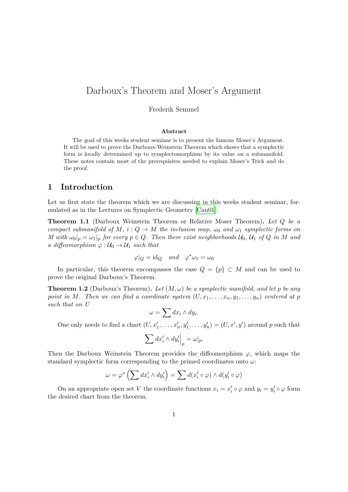## Darboux's Theorem and Moser's Argument

#### Frederik Semmel

#### **Abstract**

The goal of this weeks student seminar is to present the famous Moser's Argument. It will be used to prove the Darboux-Weinstein Theorem which shows that a symplectic form is locally determined up to symplectomorphism by its value on a submanifold. These notes contain most of the prerequisites needed to explain Moser's Trick and do the proof.

### **1 Introduction**

Let us first state the theorem which we are discussing in this weeks student seminar, formulated as in the Lectures on Symplectic Geometry [Can01].

**Theorem 1.1** (Darboux Weinstein Theorem or Relative Moser Theorem)**.** *Let Q be a compact submanifold of*  $M$ *, i* :  $Q \rightarrow M$  *the inclusion map,*  $\omega_0$  *and*  $\omega_1$  *symplectic forms on* M with  $\omega_0|_p = \omega_1|_p$  for every  $p \in Q$ . Then there exist [neighb](#page-6-0)orhoods  $\mathcal{U}_0$ ,  $\mathcal{U}_1$  of Q in M and *a diffeomorphism*  $\varphi : \mathcal{U}_0 \to \mathcal{U}_1$  *such that* 

$$
\varphi|_Q = \mathrm{id}_Q \quad and \quad \varphi^* \omega_1 = \omega_0
$$

In particular, this theorem encompasses the case  $Q = \{p\} \subset M$  and can be used to prove the original Darboux's Theorem.

**Theorem 1.2** (Darboux's Theorem)**.** *Let* (*M, ω*) *be a symplectic manifold, and let p be any point in M*. Then we can find a coordinate system  $(U, x_1, \ldots, x_n, y_1, \ldots, y_n)$  centered at p *such that on U*

$$
\omega = \sum dx_i \wedge dy_i.
$$

One only needs to find a chart  $(U, x'_1, \ldots, x'_n, y'_1, \ldots, y'_n) = (U, x', y')$  around p such that

$$
\sum dx_i' \wedge dy_i' \Big|_p = \omega|_p.
$$

Then the Darboux Weinstein Theorem provides the diffeomorphism  $\varphi$ , which maps the standard symplectic form corresponding to the primed coordinates onto *ω*:

$$
\omega = \varphi^* \left( \sum dx_i' \wedge dy_i' \right) = \sum d(x_i' \circ \varphi) \wedge d(y_i' \circ \varphi)
$$

On an appropriate open set *V* the coordinate functions  $x_i = x'_i \circ \varphi$  and  $y_i = y'_i \circ \varphi$  form the desired chart from the theorem.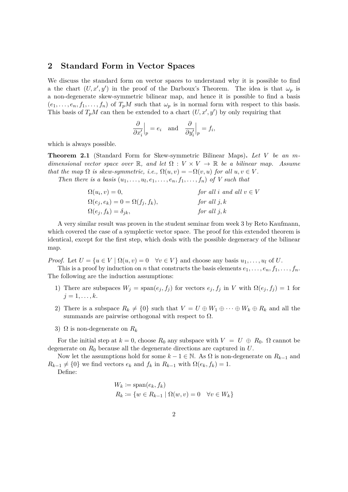#### **2 Standard Form in Vector Spaces**

We discuss the standard form on vector spaces to understand why it is possible to find a the chart  $(U, x', y')$  in the proof of the Darboux's Theorem. The idea is that  $\omega_p$  is a non-degenerate skew-symmetric bilinear map, and hence it is possible to find a basis  $(e_1, \ldots, e_n, f_1, \ldots, f_n)$  of  $T_pM$  such that  $\omega_p$  is in normal form with respect to this basis. This basis of  $T_pM$  can then be extended to a chart  $(U, x', y')$  by only requiring that

$$
\frac{\partial}{\partial x'_i}\Big|_p = e_i \text{ and } \frac{\partial}{\partial y'_i}\Big|_p = f_i,
$$

which is always possible.

**Theorem 2.1** (Standard Form for Skew-symmetric Bilinear Maps)**.** *Let V be an mdimensional vector space over*  $\mathbb{R}$ , and let  $\Omega : V \times V \to \mathbb{R}$  be a bilinear map. Assume *that the map*  $\Omega$  *is skew-symmetric, i.e.,*  $\Omega(u, v) = -\Omega(v, u)$  *for all*  $u, v \in V$ .

*Then there is a basis*  $(u_1, \ldots, u_l, e_1, \ldots, e_n, f_1, \ldots, f_n)$  of V such that

| $\Omega(u_i, v) = 0,$                      | for all i and all $v \in V$ |
|--------------------------------------------|-----------------------------|
| $\Omega(e_j, e_k) = 0 = \Omega(f_j, f_k),$ | for all $j, k$              |
| $\Omega(e_j, f_k) = \delta_{jk},$          | for all $j, k$              |

A very similar result was proven in the student seminar from week 3 by Reto Kaufmann, which covered the case of a symplectic vector space. The proof for this extended theorem is identical, except for the first step, which deals with the possible degeneracy of the bilinear map.

*Proof.* Let  $U = \{u \in V \mid \Omega(u, v) = 0 \quad \forall v \in V\}$  and choose any basis  $u_1, \ldots, u_l$  of U.

This is a proof by induction on *n* that constructs the basis elements  $e_1, \ldots, e_n, f_1, \ldots, f_n$ . The following are the induction assumptions:

- 1) There are subspaces  $W_j = \text{span}(e_j, f_j)$  for vectors  $e_j, f_j$  in *V* with  $\Omega(e_j, f_j) = 1$  for  $j = 1, \ldots, k$ .
- 2) There is a subspace  $R_k \neq \{0\}$  such that  $V = U \oplus W_1 \oplus \cdots \oplus W_k \oplus R_k$  and all the summands are pairwise orthogonal with respect to  $\Omega$ .
- 3)  $\Omega$  is non-degenerate on  $R_k$

For the initial step at  $k = 0$ , choose  $R_0$  any subspace with  $V = U \oplus R_0$ .  $\Omega$  cannot be degenerate on *R*<sup>0</sup> because all the degenerate directions are captured in *U*.

Now let the assumptions hold for some  $k - 1 \in \mathbb{N}$ . As Ω is non-degenerate on  $R_{k-1}$  and  $R_{k-1} \neq \{0\}$  we find vectors  $e_k$  and  $f_k$  in  $R_{k-1}$  with  $\Omega(e_k, f_k) = 1$ .

Define:

$$
W_k := \text{span}(e_k, f_k)
$$
  

$$
R_k := \{ w \in R_{k-1} \mid \Omega(w, v) = 0 \quad \forall v \in W_k \}
$$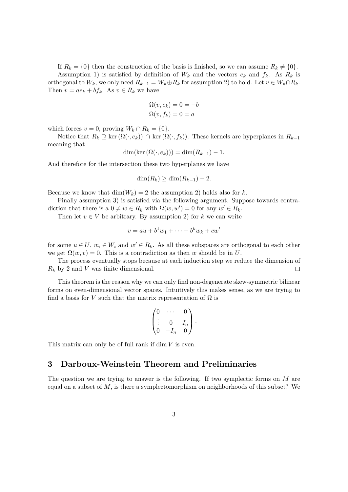If  $R_k = \{0\}$  then the construction of the basis is finished, so we can assume  $R_k \neq \{0\}$ .

Assumption 1) is satisfied by definition of  $W_k$  and the vectors  $e_k$  and  $f_k$ . As  $R_k$  is orthogonal to  $W_k$ , we only need  $R_{k-1} = W_k \oplus R_k$  for assumption 2) to hold. Let  $v \in W_k \cap R_k$ . Then  $v = ae_k + bf_k$ . As  $v \in R_k$  we have

$$
\Omega(v, e_k) = 0 = -b
$$
  

$$
\Omega(v, f_k) = 0 = a
$$

which forces  $v = 0$ , proving  $W_k \cap R_k = \{0\}$ .

Notice that  $R_k$  *⊇* ker( $Ω(·, e_k)$ )  $∩$  ker( $Ω(·, f_k)$ ). These kernels are hyperplanes in  $R_{k-1}$ meaning that

$$
\dim(\ker(\Omega(\cdot,e_k))) = \dim(R_{k-1}) - 1.
$$

And therefore for the intersection these two hyperplanes we have

$$
\dim(R_k) \ge \dim(R_{k-1}) - 2
$$

Because we know that  $\dim(W_k) = 2$  the assumption 2) holds also for *k*.

Finally assumption 3) is satisfied via the following argument. Suppose towards contradiction that there is a  $0 \neq w \in R_k$  with  $\Omega(w, w') = 0$  for any  $w' \in R_k$ .

Then let  $v \in V$  be arbitrary. By assumption 2) for  $k$  we can write

$$
v = au + b1w1 + \dots + bkwk + cw'
$$

for some  $u \in U$ ,  $w_i \in W_i$  and  $w' \in R_k$ . As all these subspaces are orthogonal to each other we get  $\Omega(w, v) = 0$ . This is a contradiction as then *w* should be in *U*.

The process eventually stops because at each induction step we reduce the dimension of *R<sup>k</sup>* by 2 and *V* was finite dimensional.  $\Box$ 

This theorem is the reason why we can only find non-degenerate skew-symmetric bilinear forms on even-dimensional vector spaces. Intuitively this makes sense, as we are trying to find a basis for *V* such that the matrix representation of  $\Omega$  is

$$
\begin{pmatrix} 0 & \cdots & 0 \\ \vdots & 0 & I_n \\ 0 & -I_n & 0 \end{pmatrix}.
$$

This matrix can only be of full rank if dim *V* is even.

### **3 Darboux-Weinstein Theorem and Preliminaries**

The question we are trying to answer is the following. If two symplectic forms on *M* are equal on a subset of *M*, is there a symplectomorphism on neighborhoods of this subset? We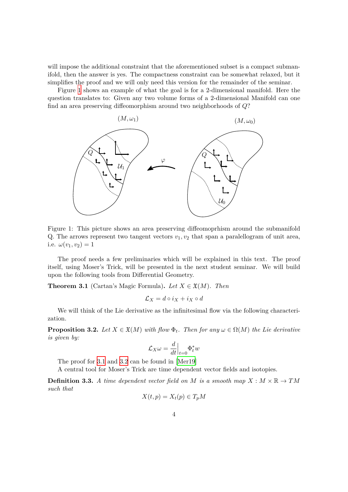will impose the additional constraint that the aforementioned subset is a compact submanifold, then the answer is yes. The compactness constraint can be somewhat relaxed, but it simplifies the proof and we will only need this version for the remainder of the seminar.

Figure 1 shows an example of what the goal is for a 2-dimensional manifold. Here the question translates to: Given any two volume forms of a 2-dimensional Manifold can one find an area preserving diffeomorphism around two neighborhoods of *Q*?



Figure 1: This picture shows an area preserving diffeomoprhism around the submanifold Q. The arrows represent two tangent vectors  $v_1, v_2$  that span a paralellogram of unit area, i.e.  $\omega(v_1, v_2) = 1$ 

The proof needs a few preliminaries which will be explained in this text. The proof itself, using Moser's Trick, will be presented in the next student seminar. We will build upon the following tools from Differential Geometry.

**Theorem 3.1** (Cartan's Magic Formula). Let  $X \in \mathfrak{X}(M)$ . Then

$$
\mathcal{L}_X = d \circ i_X + i_X \circ d
$$

We will think of the Lie derivative as the infinitesimal flow via the following characterization.

**Proposition 3.2.** *Let*  $X \in \mathfrak{X}(M)$  *with flow*  $\Phi_t$ *. Then for any*  $\omega \in \Omega(M)$  *the Lie derivative is given by:*

$$
\mathcal{L}_X \omega = \frac{d}{dt}\Big|_{t=0} \Phi_t^* w
$$

The proof for 3.1 and 3.2 can be found in [Mer19]

A central tool for Moser's Trick are time dependent vector fields and isotopies.

**Definition 3.3.** *A time dependent vector field on M is a smooth map*  $X : M \times \mathbb{R} \to TM$ *such that*

$$
X(t, p) = X_t(p) \in T_p M
$$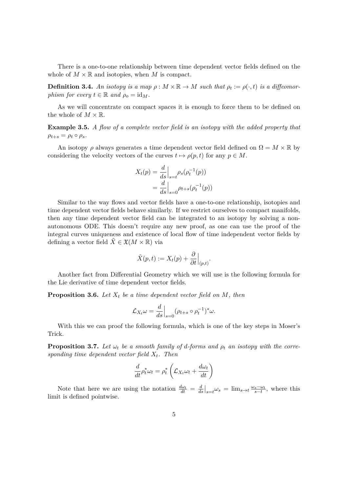There is a one-to-one relationship between time dependent vector fields defined on the whole of  $M \times \mathbb{R}$  and isotopies, when M is compact.

**Definition 3.4.** An isotopy is a map  $\rho : M \times \mathbb{R} \to M$  such that  $\rho_t := \rho(\cdot, t)$  is a diffeomor*phism for every*  $t \in \mathbb{R}$  *and*  $\rho_o = id_M$ .

As we will concentrate on compact spaces it is enough to force them to be defined on the whole of  $M \times \mathbb{R}$ .

**Example 3.5.** *A flow of a complete vector field is an isotopy with the added property that*  $\rho_{t+s} = \rho_t \circ \rho_s$ .

An isotopy  $\rho$  always generates a time dependent vector field defined on  $\Omega = M \times \mathbb{R}$  by considering the velocity vectors of the curves  $t \mapsto \rho(p, t)$  for any  $p \in M$ .

$$
X_t(p) = \frac{d}{ds}\Big|_{s=t} \rho_s(\rho_t^{-1}(p))
$$
  
= 
$$
\frac{d}{ds}\Big|_{s=0} \rho_{t+s}(\rho_t^{-1}(p))
$$

Similar to the way flows and vector fields have a one-to-one relationship, isotopies and time dependent vector fields behave similarly. If we restrict ourselves to compact manifolds, then any time dependent vector field can be integrated to an isotopy by solving a nonautonomous ODE. This doesn't require any new proof, as one can use the proof of the integral curves uniqueness and existence of local flow of time independent vector fields by defining a vector field  $\tilde{X} \in \mathfrak{X}(M \times \mathbb{R})$  via

$$
\tilde{X}(p,t) := X_t(p) + \frac{\partial}{\partial t}\Big|_{(p,t)}.
$$

Another fact from Differential Geometry which we will use is the following formula for the Lie derivative of time dependent vector fields.

**Proposition 3.6.** *Let X<sup>t</sup> be a time dependent vector field on M, then*

$$
\mathcal{L}_{X_t}\omega = \frac{d}{ds}\Big|_{s=0} (\rho_{t+s} \circ \rho_t^{-1})^*\omega.
$$

With this we can proof the following formula, which is one of the key steps in Moser's Trick.

**Proposition 3.7.** *Let*  $\omega_t$  *be a smooth family of d-forms and*  $\rho_t$  *an isotopy with the corresponding time dependent vector field Xt. Then*

$$
\frac{d}{dt}\rho_t^* \omega_t = \rho_t^* \left( \mathcal{L}_{X_t} \omega_t + \frac{d\omega_t}{dt} \right)
$$

Note that here we are using the notation  $\frac{d\omega_t}{dt} = \frac{d}{dt}$  $\frac{d}{ds}\Big|_{s=t} \omega_s = \lim_{s \to t} \frac{\omega_s - \omega_t}{s-t}$  $\frac{s - \omega_t}{s - t}$ , where this limit is defined pointwise.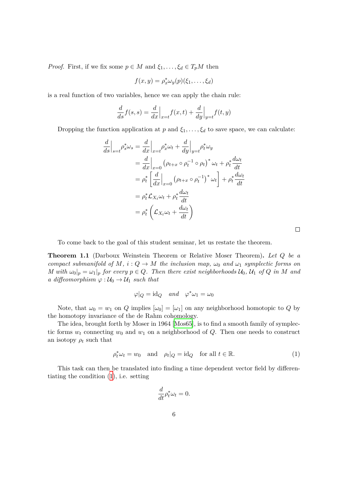*Proof.* First, if we fix some  $p \in M$  and  $\xi_1, \ldots, \xi_d \in T_pM$  then

$$
f(x,y) = \rho_x^* \omega_y(p)(\xi_1,\ldots,\xi_d)
$$

is a real function of two variables, hence we can apply the chain rule:

$$
\frac{d}{ds}f(s,s) = \frac{d}{dx}\Big|_{x=t}f(x,t) + \frac{d}{dy}\Big|_{y=t}f(t,y)
$$

Dropping the function application at *p* and  $\xi_1, \ldots, \xi_d$  to save space, we can calculate:

$$
\frac{d}{ds}\Big|_{s=t} \rho_s^* \omega_s = \frac{d}{dx}\Big|_{x=t} \rho_x^* \omega_t + \frac{d}{dy}\Big|_{y=t} \rho_t^* \omega_y
$$
  
\n
$$
= \frac{d}{dx}\Big|_{x=0} \left(\rho_{t+x} \circ \rho_t^{-1} \circ \rho_t\right)^* \omega_t + \rho_t^* \frac{d\omega_t}{dt}
$$
  
\n
$$
= \rho_t^* \left[\frac{d}{dx}\Big|_{x=0} \left(\rho_{t+x} \circ \rho_t^{-1}\right)^* \omega_t\right] + \rho_t^* \frac{d\omega_t}{dt}
$$
  
\n
$$
= \rho_t^* \mathcal{L}_{X_t} \omega_t + \rho_t^* \frac{d\omega_t}{dt}
$$
  
\n
$$
= \rho_t^* \left(\mathcal{L}_{X_t} \omega_t + \frac{d\omega_t}{dt}\right)
$$

 $\Box$ 

To come back to the goal of this student seminar, let us restate the theorem.

**Theorem 1.1** (Darboux Weinstein Theorem or Relative Moser Theorem)**.** *Let Q be a compact submanifold of*  $M$ *,*  $i: Q \to M$  *the inclusion map,*  $\omega_0$  *and*  $\omega_1$  *symplectic forms on* M with  $\omega_0|_p = \omega_1|_p$  for every  $p \in Q$ . Then there exist neighborhoods  $\mathcal{U}_0$ ,  $\mathcal{U}_1$  of Q in M and *a diffeomorphism*  $\varphi : \mathcal{U}_0 \to \mathcal{U}_1$  *such that* 

$$
\varphi|_Q = \mathrm{id}_Q \quad and \quad \varphi^* \omega_1 = \omega_0
$$

Note, that  $\omega_0 = w_1$  on *Q* implies  $[\omega_0] = [\omega_1]$  on any neighborhood homotopic to *Q* by the homotopy invariance of the de Rahm cohomology.

The idea, brought forth by Moser in 1964 [Mos65], is to find a smooth family of symplectic forms  $w_t$  connecting  $w_0$  and  $w_1$  on a neighborhood of  $Q$ . Then one needs to construct an isotopy  $\rho_t$  such that

$$
\rho_t^* \omega_t = w_0 \quad \text{and} \quad \rho_t |_Q = \text{id}_Q \quad \text{for all } t \in \mathbb{R}.\tag{1}
$$

This task can then be translated into finding a time dependent vector field by differentiating the condition (1), i.e. setting

$$
\frac{d}{dt}\rho_t^*\omega_t = 0.
$$